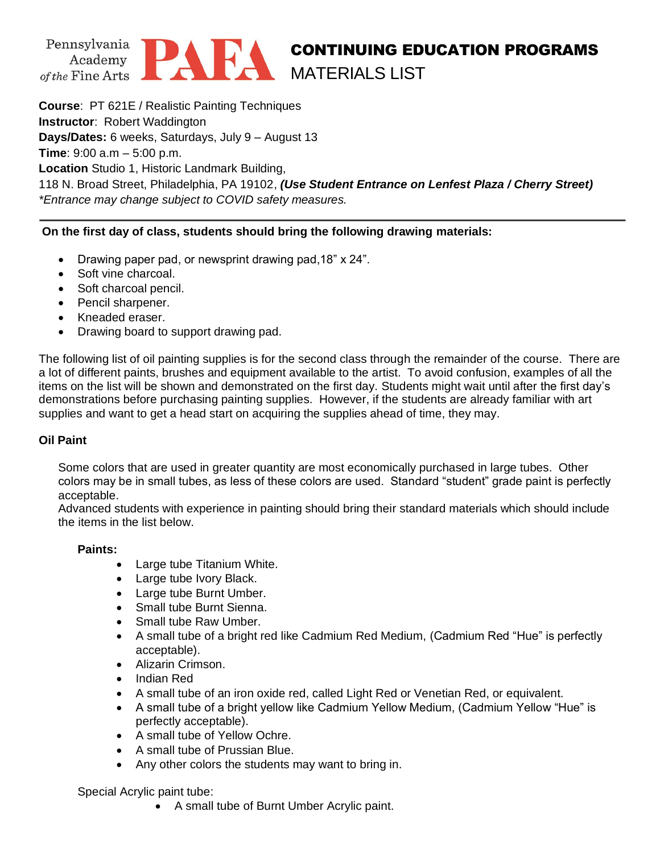



# CONTINUING EDUCATION PROGRAMS MATERIALS LIST

**Course**: PT 621E / Realistic Painting Techniques **Instructor**: Robert Waddington **Days/Dates:** 6 weeks, Saturdays, July 9 – August 13 **Time**: 9:00 a.m – 5:00 p.m.

**Location** Studio 1, Historic Landmark Building,

118 N. Broad Street, Philadelphia, PA 19102, *(Use Student Entrance on Lenfest Plaza / Cherry Street) \*Entrance may change subject to COVID safety measures.*

## **On the first day of class, students should bring the following drawing materials:**

- Drawing paper pad, or newsprint drawing pad,18" x 24".
- Soft vine charcoal.
- Soft charcoal pencil.
- Pencil sharpener.
- Kneaded eraser.
- Drawing board to support drawing pad.

The following list of oil painting supplies is for the second class through the remainder of the course. There are a lot of different paints, brushes and equipment available to the artist. To avoid confusion, examples of all the items on the list will be shown and demonstrated on the first day. Students might wait until after the first day's demonstrations before purchasing painting supplies. However, if the students are already familiar with art supplies and want to get a head start on acquiring the supplies ahead of time, they may.

## **Oil Paint**

Some colors that are used in greater quantity are most economically purchased in large tubes. Other colors may be in small tubes, as less of these colors are used. Standard "student" grade paint is perfectly acceptable.

Advanced students with experience in painting should bring their standard materials which should include the items in the list below.

### **Paints:**

- Large tube Titanium White.
- Large tube Ivory Black.
- Large tube Burnt Umber.
- Small tube Burnt Sienna.
- Small tube Raw Umber.
- A small tube of a bright red like Cadmium Red Medium, (Cadmium Red "Hue" is perfectly acceptable).
- Alizarin Crimson.
- Indian Red
- A small tube of an iron oxide red, called Light Red or Venetian Red, or equivalent.
- A small tube of a bright yellow like Cadmium Yellow Medium, (Cadmium Yellow "Hue" is perfectly acceptable).
- A small tube of Yellow Ochre.
- A small tube of Prussian Blue.
- Any other colors the students may want to bring in.

Special Acrylic paint tube:

• A small tube of Burnt Umber Acrylic paint.